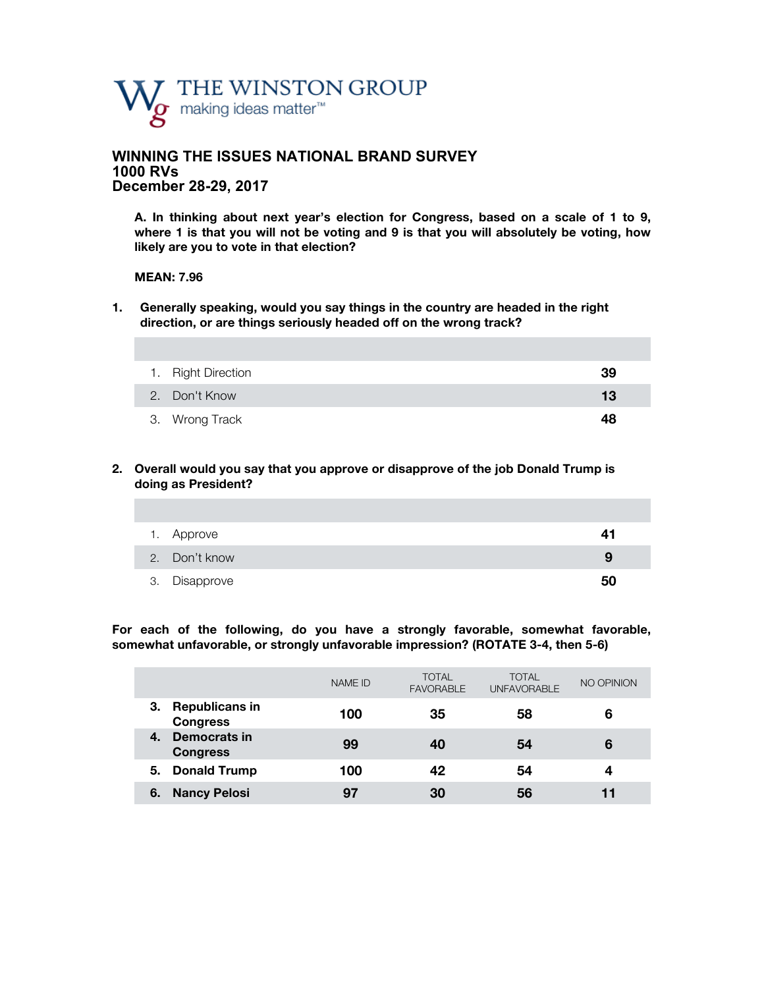

# **WINNING THE ISSUES NATIONAL BRAND SURVEY 1000 RVs December 28-29, 2017**

**A. In thinking about next year's election for Congress, based on a scale of 1 to 9, where 1 is that you will not be voting and 9 is that you will absolutely be voting, how likely are you to vote in that election?**

#### **MEAN: 7.96**

**1. Generally speaking, would you say things in the country are headed in the right direction, or are things seriously headed off on the wrong track?** 

| 1. Right Direction | 39 |
|--------------------|----|
| 2. Don't Know      | 13 |
| 3. Wrong Track     | 48 |

**2. Overall would you say that you approve or disapprove of the job Donald Trump is doing as President?**

| 1. Approve    | 41 |
|---------------|----|
| 2. Don't know | 9  |
| 3. Disapprove | 50 |

**For each of the following, do you have a strongly favorable, somewhat favorable, somewhat unfavorable, or strongly unfavorable impression? (ROTATE 3-4, then 5-6)**

|                                                | <b>NAME ID</b> | <b>TOTAL</b><br><b>FAVORABLE</b> | <b>TOTAL</b><br><b>UNFAVORABLE</b> | NO OPINION |
|------------------------------------------------|----------------|----------------------------------|------------------------------------|------------|
| 3.<br><b>Republicans in</b><br><b>Congress</b> | 100            | 35                               | 58                                 | 6          |
| Democrats in<br>4.<br><b>Congress</b>          | 99             | 40                               | 54                                 | 6          |
| <b>Donald Trump</b><br>5.                      | 100            | 42                               | 54                                 | 4          |
| <b>Nancy Pelosi</b><br>6.                      | 97             | 30                               | 56                                 |            |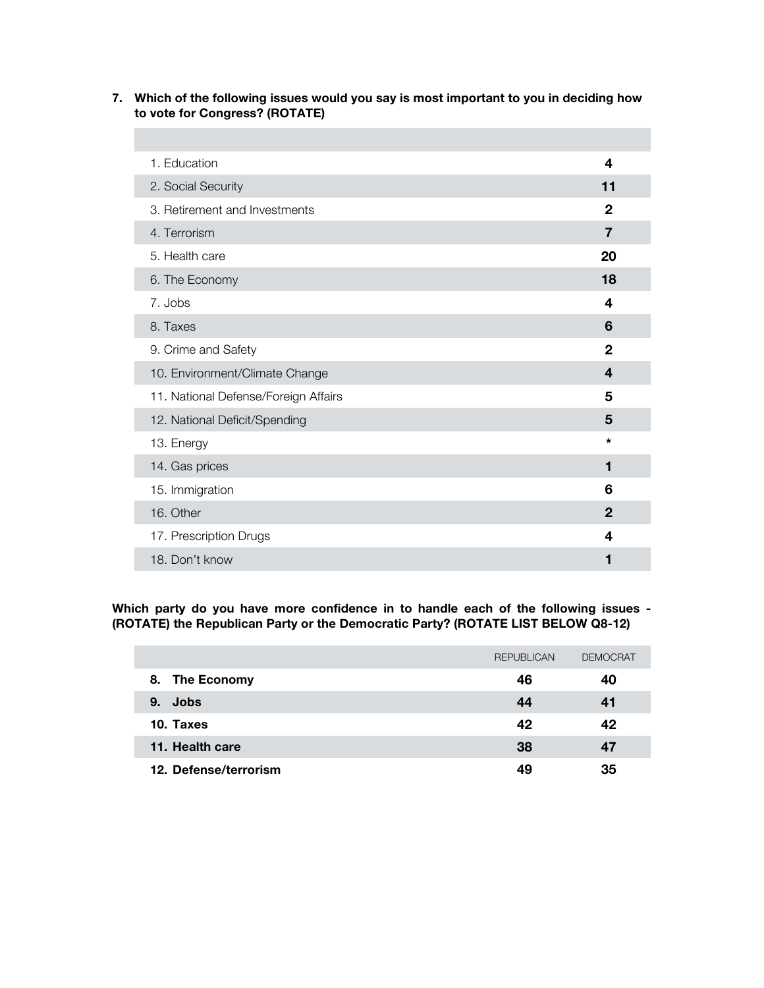# **7. Which of the following issues would you say is most important to you in deciding how to vote for Congress? (ROTATE)**

| 1. Education                         | 4              |
|--------------------------------------|----------------|
| 2. Social Security                   | 11             |
| 3. Retirement and Investments        | $\mathbf{2}$   |
| 4. Terrorism                         | $\overline{7}$ |
| 5. Health care                       | 20             |
| 6. The Economy                       | 18             |
| 7. Jobs                              | 4              |
| 8. Taxes                             | 6              |
| 9. Crime and Safety                  | 2              |
| 10. Environment/Climate Change       | 4              |
| 11. National Defense/Foreign Affairs | 5              |
| 12. National Deficit/Spending        | 5              |
| 13. Energy                           | $\star$        |
| 14. Gas prices                       | 1              |
| 15. Immigration                      | 6              |
| 16. Other                            | $\mathbf 2$    |
| 17. Prescription Drugs               | 4              |
| 18. Don't know                       | 1              |

**Which party do you have more confidence in to handle each of the following issues - (ROTATE) the Republican Party or the Democratic Party? (ROTATE LIST BELOW Q8-12)**

|                       | <b>REPUBLICAN</b> | <b>DEMOCRAT</b> |
|-----------------------|-------------------|-----------------|
| The Economy<br>8.     | 46                | 40              |
| Jobs<br>9.            | 44                | 41              |
| 10. Taxes             | 42                | 42              |
| 11. Health care       | 38                | 47              |
| 12. Defense/terrorism | 49                | 35              |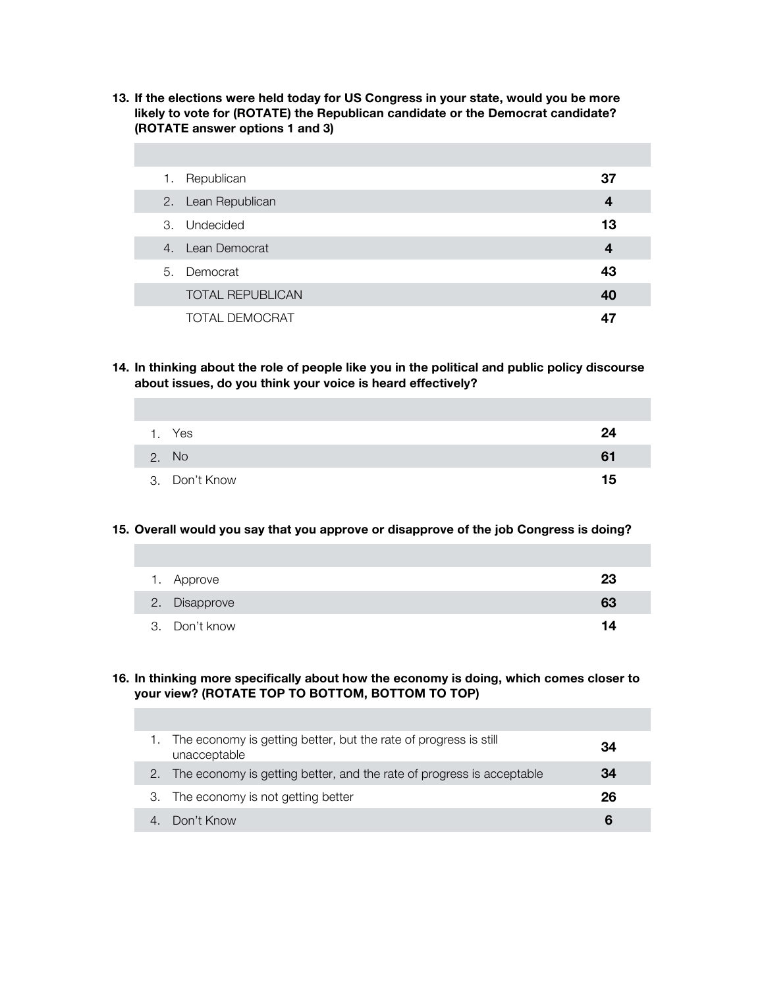**13. If the elections were held today for US Congress in your state, would you be more likely to vote for (ROTATE) the Republican candidate or the Democrat candidate? (ROTATE answer options 1 and 3)** 

| 1. | Republican              | 37 |  |
|----|-------------------------|----|--|
|    | 2. Lean Republican      | 4  |  |
|    | 3. Undecided            | 13 |  |
|    | 4. Lean Democrat        | 4  |  |
|    | 5. Democrat             | 43 |  |
|    | <b>TOTAL REPUBLICAN</b> | 40 |  |
|    | <b>TOTAL DEMOCRAT</b>   |    |  |

**14. In thinking about the role of people like you in the political and public policy discourse about issues, do you think your voice is heard effectively?** 

| 1. Yes        | 24 |
|---------------|----|
| 2. No         | 61 |
| 3. Don't Know | 15 |

## **15. Overall would you say that you approve or disapprove of the job Congress is doing?**

| 1. Approve    | 23 |
|---------------|----|
| 2. Disapprove | 63 |
| 3. Don't know | 14 |

## **16. In thinking more specifically about how the economy is doing, which comes closer to your view? (ROTATE TOP TO BOTTOM, BOTTOM TO TOP)**

| The economy is getting better, but the rate of progress is still<br>unacceptable | 34 |
|----------------------------------------------------------------------------------|----|
| 2. The economy is getting better, and the rate of progress is acceptable         | 34 |
| 3. The economy is not getting better                                             | 26 |
| Don't Know                                                                       |    |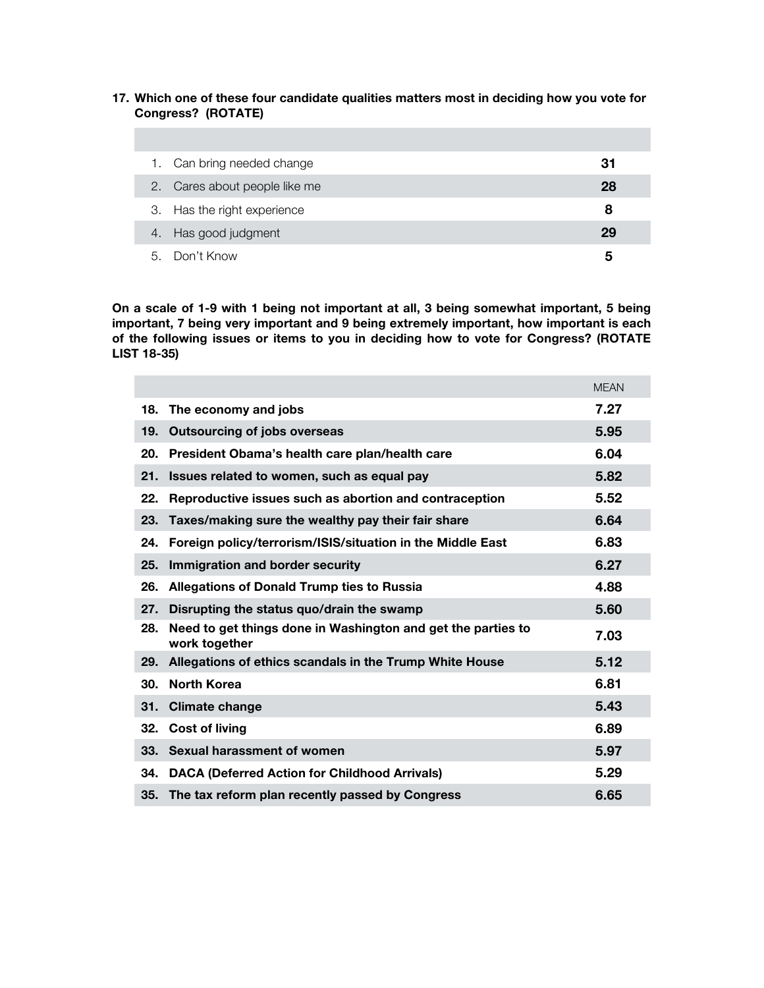## **17. Which one of these four candidate qualities matters most in deciding how you vote for Congress? (ROTATE)**

|    | Can bring needed change       | 31 |
|----|-------------------------------|----|
|    | 2. Cares about people like me | 28 |
|    | 3. Has the right experience   | 8  |
|    | 4. Has good judgment          | 29 |
| 5. | Don't Know                    | 5  |

**On a scale of 1-9 with 1 being not important at all, 3 being somewhat important, 5 being important, 7 being very important and 9 being extremely important, how important is each of the following issues or items to you in deciding how to vote for Congress? (ROTATE LIST 18-35)** 

|     |                                                                               | <b>MEAN</b> |
|-----|-------------------------------------------------------------------------------|-------------|
| 18. | The economy and jobs                                                          | 7.27        |
| 19. | <b>Outsourcing of jobs overseas</b>                                           | 5.95        |
| 20. | President Obama's health care plan/health care                                | 6.04        |
| 21. | Issues related to women, such as equal pay                                    | 5.82        |
| 22. | Reproductive issues such as abortion and contraception                        | 5.52        |
| 23. | Taxes/making sure the wealthy pay their fair share                            | 6.64        |
| 24. | Foreign policy/terrorism/ISIS/situation in the Middle East                    | 6.83        |
| 25. | Immigration and border security                                               | 6.27        |
| 26. | <b>Allegations of Donald Trump ties to Russia</b>                             | 4.88        |
| 27. | Disrupting the status quo/drain the swamp                                     | 5.60        |
| 28. | Need to get things done in Washington and get the parties to<br>work together | 7.03        |
| 29. | Allegations of ethics scandals in the Trump White House                       | 5.12        |
| 30. | <b>North Korea</b>                                                            | 6.81        |
| 31. | <b>Climate change</b>                                                         | 5.43        |
| 32. | <b>Cost of living</b>                                                         | 6.89        |
| 33. | Sexual harassment of women                                                    | 5.97        |
| 34. | <b>DACA (Deferred Action for Childhood Arrivals)</b>                          | 5.29        |
| 35. | The tax reform plan recently passed by Congress                               | 6.65        |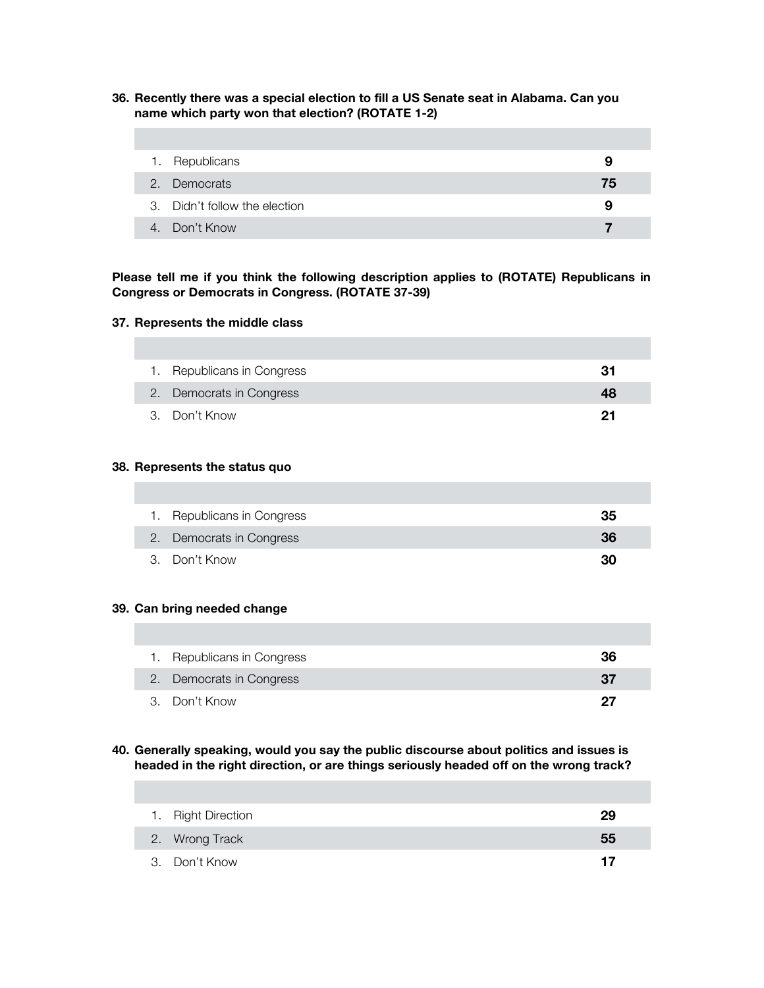**36. Recently there was a special election to fill a US Senate seat in Alabama. Can you name which party won that election? (ROTATE 1-2)**

| 1. Republicans                | 9  |
|-------------------------------|----|
| 2. Democrats                  | 75 |
| 3. Didn't follow the election | 9  |
| 4. Don't Know                 |    |

**Please tell me if you think the following description applies to (ROTATE) Republicans in Congress or Democrats in Congress. (ROTATE 37-39)**

#### **37. Represents the middle class**

| 1. Republicans in Congress | 31 |
|----------------------------|----|
| 2. Democrats in Congress   | 48 |
| 3. Don't Know              | 21 |

#### **38. Represents the status quo**

| 1. Republicans in Congress | 35 |
|----------------------------|----|
| 2. Democrats in Congress   | 36 |
| 3. Don't Know              | 30 |

#### **39. Can bring needed change**

| 1. Republicans in Congress | 36 |
|----------------------------|----|
| 2. Democrats in Congress   | 37 |
| 3. Don't Know              | 97 |

# **40. Generally speaking, would you say the public discourse about politics and issues is headed in the right direction, or are things seriously headed off on the wrong track?**

| 1. Right Direction | 29 |
|--------------------|----|
| 2. Wrong Track     | 55 |
| 3. Don't Know      | 17 |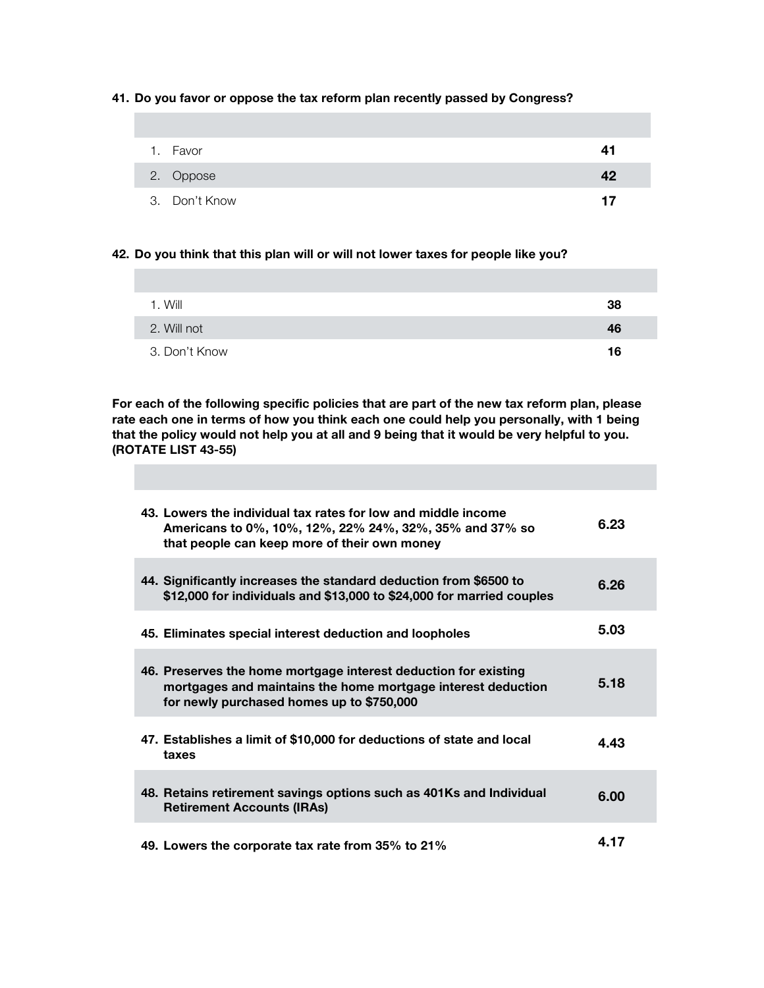**41. Do you favor or oppose the tax reform plan recently passed by Congress?** 

| 1. Favor      | 41 |
|---------------|----|
| 2. Oppose     | 42 |
| 3. Don't Know | 17 |

#### **42. Do you think that this plan will or will not lower taxes for people like you?**

| 1. Will       | 38 |
|---------------|----|
| 2. Will not   | 46 |
| 3. Don't Know | 16 |

**For each of the following specific policies that are part of the new tax reform plan, please rate each one in terms of how you think each one could help you personally, with 1 being that the policy would not help you at all and 9 being that it would be very helpful to you. (ROTATE LIST 43-55)** 

| 43. Lowers the individual tax rates for low and middle income<br>Americans to 0%, 10%, 12%, 22% 24%, 32%, 35% and 37% so<br>that people can keep more of their own money     | 6.23 |
|------------------------------------------------------------------------------------------------------------------------------------------------------------------------------|------|
| 44. Significantly increases the standard deduction from \$6500 to<br>\$12,000 for individuals and \$13,000 to \$24,000 for married couples                                   | 6.26 |
| 45. Eliminates special interest deduction and loopholes                                                                                                                      | 5.03 |
| 46. Preserves the home mortgage interest deduction for existing<br>mortgages and maintains the home mortgage interest deduction<br>for newly purchased homes up to \$750,000 | 5.18 |
| 47. Establishes a limit of \$10,000 for deductions of state and local<br>taxes                                                                                               | 4.43 |
| 48. Retains retirement savings options such as 401Ks and Individual<br><b>Retirement Accounts (IRAs)</b>                                                                     | 6.00 |
| 49. Lowers the corporate tax rate from 35% to 21%                                                                                                                            | 4.17 |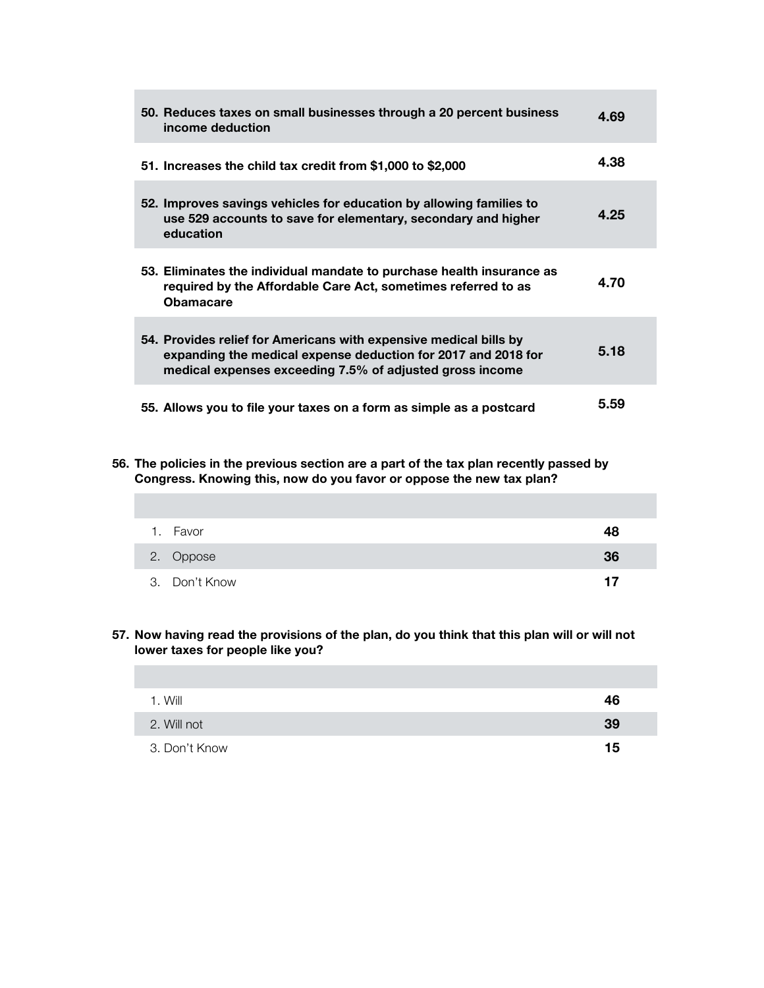| 50. Reduces taxes on small businesses through a 20 percent business<br>income deduction                                                                                                        | 4.69 |
|------------------------------------------------------------------------------------------------------------------------------------------------------------------------------------------------|------|
| 51. Increases the child tax credit from \$1,000 to \$2,000                                                                                                                                     | 4.38 |
| 52. Improves savings vehicles for education by allowing families to<br>use 529 accounts to save for elementary, secondary and higher<br>education                                              | 4.25 |
| 53. Eliminates the individual mandate to purchase health insurance as<br>required by the Affordable Care Act, sometimes referred to as<br><b>Obamacare</b>                                     | 4.70 |
| 54. Provides relief for Americans with expensive medical bills by<br>expanding the medical expense deduction for 2017 and 2018 for<br>medical expenses exceeding 7.5% of adjusted gross income | 5.18 |
| 55. Allows you to file your taxes on a form as simple as a postcard                                                                                                                            | 5.59 |

## **56. The policies in the previous section are a part of the tax plan recently passed by Congress. Knowing this, now do you favor or oppose the new tax plan?**

| 1. Favor      | 48 |
|---------------|----|
| 2. Oppose     | 36 |
| 3. Don't Know | 17 |

# **57. Now having read the provisions of the plan, do you think that this plan will or will not lower taxes for people like you?**

| 1. Will       | 46 |
|---------------|----|
| 2. Will not   | 39 |
| 3. Don't Know | 15 |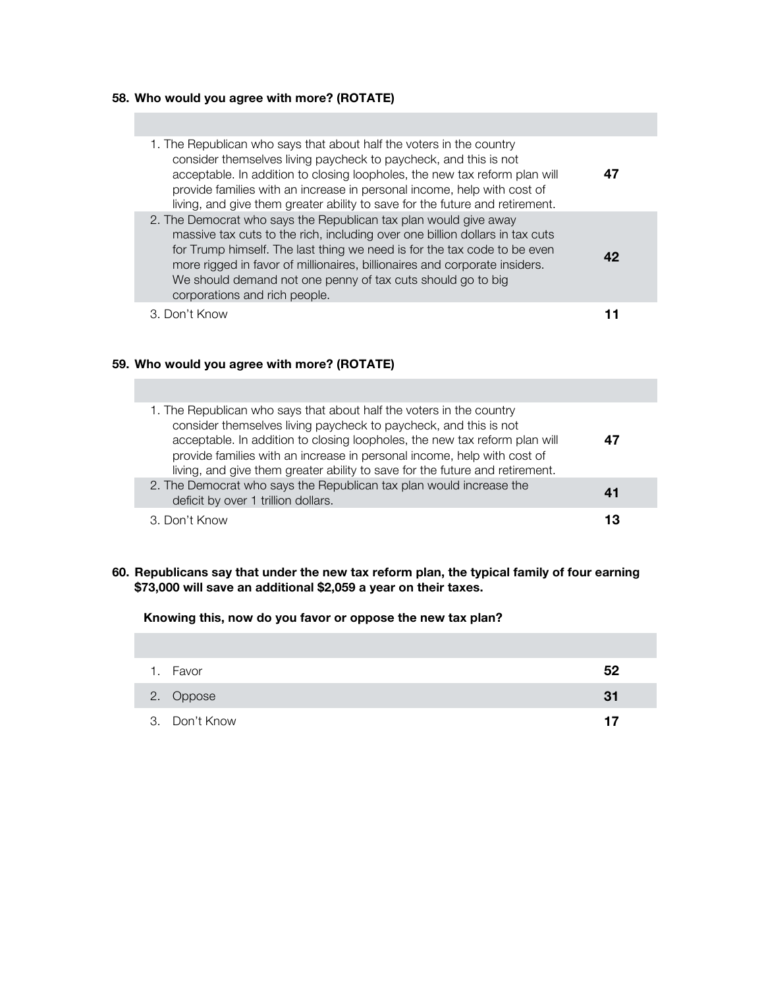# **58. Who would you agree with more? (ROTATE)**

| 1. The Republican who says that about half the voters in the country<br>consider themselves living paycheck to paycheck, and this is not<br>acceptable. In addition to closing loopholes, the new tax reform plan will<br>provide families with an increase in personal income, help with cost of<br>living, and give them greater ability to save for the future and retirement.                          |  |
|------------------------------------------------------------------------------------------------------------------------------------------------------------------------------------------------------------------------------------------------------------------------------------------------------------------------------------------------------------------------------------------------------------|--|
| 2. The Democrat who says the Republican tax plan would give away<br>massive tax cuts to the rich, including over one billion dollars in tax cuts<br>for Trump himself. The last thing we need is for the tax code to be even<br>more rigged in favor of millionaires, billionaires and corporate insiders.<br>We should demand not one penny of tax cuts should go to big<br>corporations and rich people. |  |
| 3. Don't Know                                                                                                                                                                                                                                                                                                                                                                                              |  |

# **59. Who would you agree with more? (ROTATE)**

| 1. The Republican who says that about half the voters in the country<br>consider themselves living paycheck to paycheck, and this is not<br>acceptable. In addition to closing loopholes, the new tax reform plan will<br>provide families with an increase in personal income, help with cost of<br>living, and give them greater ability to save for the future and retirement. | 47 |
|-----------------------------------------------------------------------------------------------------------------------------------------------------------------------------------------------------------------------------------------------------------------------------------------------------------------------------------------------------------------------------------|----|
| 2. The Democrat who says the Republican tax plan would increase the<br>deficit by over 1 trillion dollars.                                                                                                                                                                                                                                                                        | 41 |
| 3. Don't Know                                                                                                                                                                                                                                                                                                                                                                     | 13 |

**60. Republicans say that under the new tax reform plan, the typical family of four earning \$73,000 will save an additional \$2,059 a year on their taxes.** 

# **Knowing this, now do you favor or oppose the new tax plan?**

| 1. Favor      | 52 |
|---------------|----|
| 2. Oppose     | 31 |
| 3. Don't Know | 17 |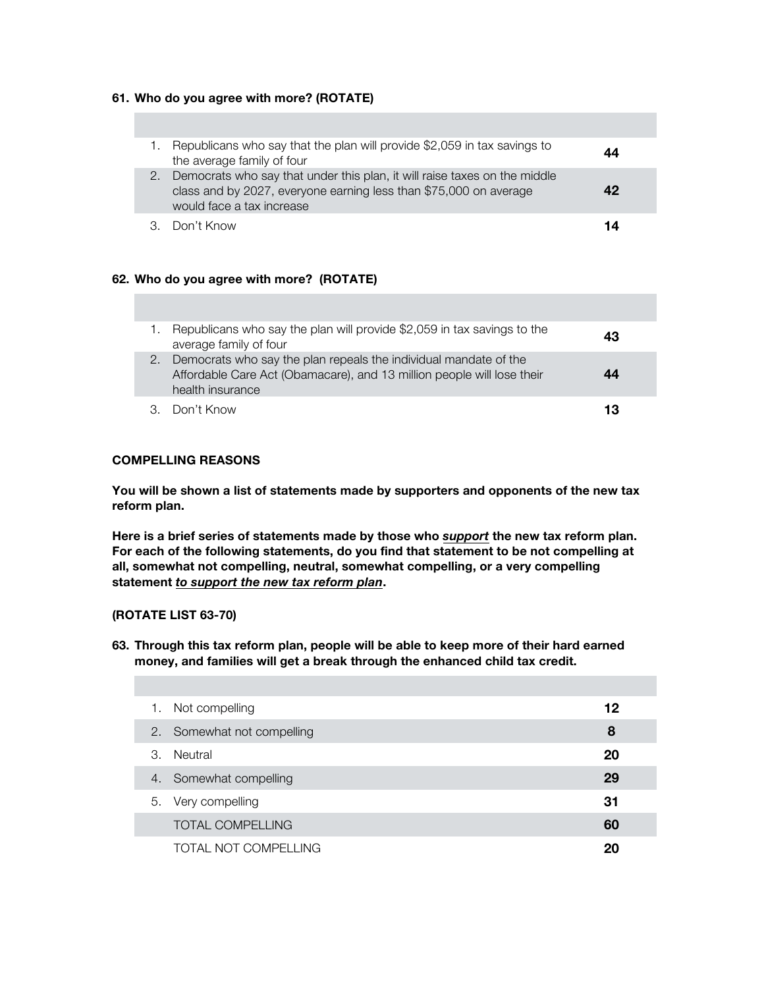## **61. Who do you agree with more? (ROTATE)**

|    | Republicans who say that the plan will provide \$2,059 in tax savings to<br>the average family of four                                                                      | 44 |
|----|-----------------------------------------------------------------------------------------------------------------------------------------------------------------------------|----|
| 2. | Democrats who say that under this plan, it will raise taxes on the middle<br>class and by 2027, everyone earning less than \$75,000 on average<br>would face a tax increase |    |
|    | 3. Don't Know                                                                                                                                                               | 14 |

## **62. Who do you agree with more? (ROTATE)**

|    | Republicans who say the plan will provide \$2,059 in tax savings to the<br>average family of four                                                              | 43 |
|----|----------------------------------------------------------------------------------------------------------------------------------------------------------------|----|
| 2. | Democrats who say the plan repeals the individual mandate of the<br>Affordable Care Act (Obamacare), and 13 million people will lose their<br>health insurance | 44 |
|    | 3. Don't Know                                                                                                                                                  | 13 |

# **COMPELLING REASONS**

**You will be shown a list of statements made by supporters and opponents of the new tax reform plan.** 

**Here is a brief series of statements made by those who** *support* **the new tax reform plan. For each of the following statements, do you find that statement to be not compelling at all, somewhat not compelling, neutral, somewhat compelling, or a very compelling statement** *to support the new tax reform plan***.**

#### **(ROTATE LIST 63-70)**

**63. Through this tax reform plan, people will be able to keep more of their hard earned money, and families will get a break through the enhanced child tax credit.**

| 1. | Not compelling             | 12 |
|----|----------------------------|----|
|    | 2. Somewhat not compelling | 8  |
| 3. | Neutral                    | 20 |
|    | 4. Somewhat compelling     | 29 |
|    | 5. Very compelling         | 31 |
|    | <b>TOTAL COMPELLING</b>    | 60 |
|    | TOTAL NOT COMPELLING       | 20 |
|    |                            |    |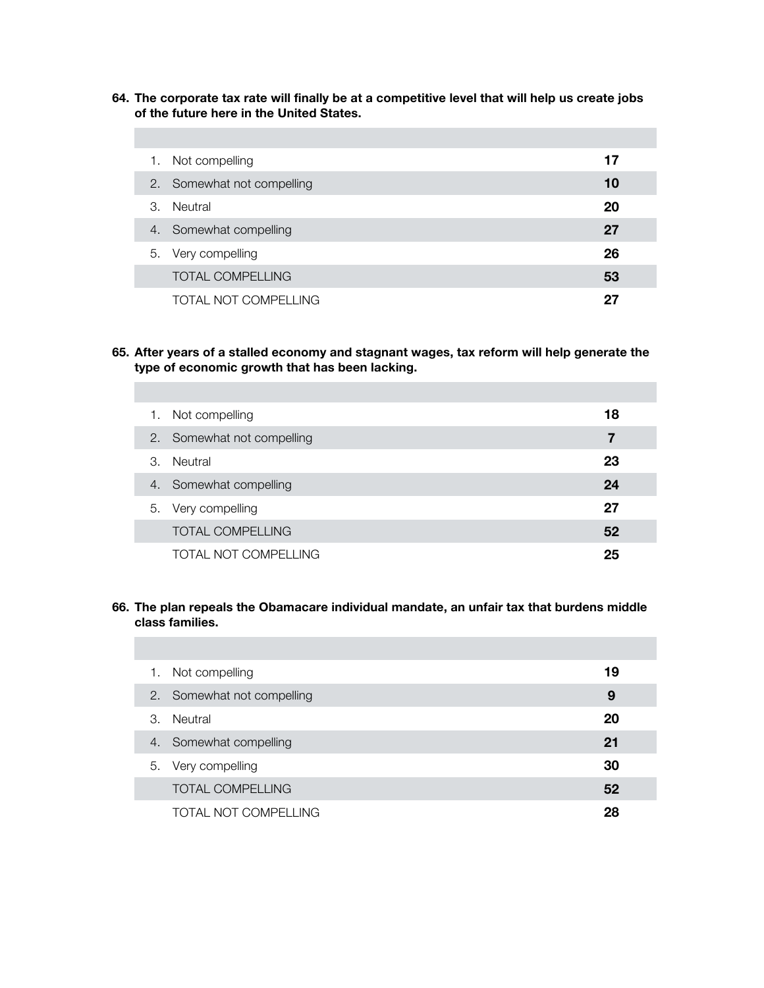**64. The corporate tax rate will finally be at a competitive level that will help us create jobs of the future here in the United States.** 

| Not compelling<br>1.       | 17 |
|----------------------------|----|
| 2. Somewhat not compelling | 10 |
| Neutral<br>3.              | 20 |
| 4. Somewhat compelling     | 27 |
| Very compelling<br>5.      | 26 |
| <b>TOTAL COMPELLING</b>    | 53 |
| TOTAL NOT COMPELLING       | 27 |

**65. After years of a stalled economy and stagnant wages, tax reform will help generate the type of economic growth that has been lacking.** 

| 1. | Not compelling             | 18 |
|----|----------------------------|----|
|    | 2. Somewhat not compelling | 7  |
| 3. | Neutral                    | 23 |
| 4. | Somewhat compelling        | 24 |
|    | 5. Very compelling         | 27 |
|    | <b>TOTAL COMPELLING</b>    | 52 |
|    | TOTAL NOT COMPELLING       | 25 |

# **66. The plan repeals the Obamacare individual mandate, an unfair tax that burdens middle class families.**

| 1. | Not compelling             | 19 |
|----|----------------------------|----|
|    | 2. Somewhat not compelling | 9  |
| 3. | Neutral                    | 20 |
|    | 4. Somewhat compelling     | 21 |
|    | 5. Very compelling         | 30 |
|    | <b>TOTAL COMPELLING</b>    | 52 |
|    | TOTAL NOT COMPELLING       | 28 |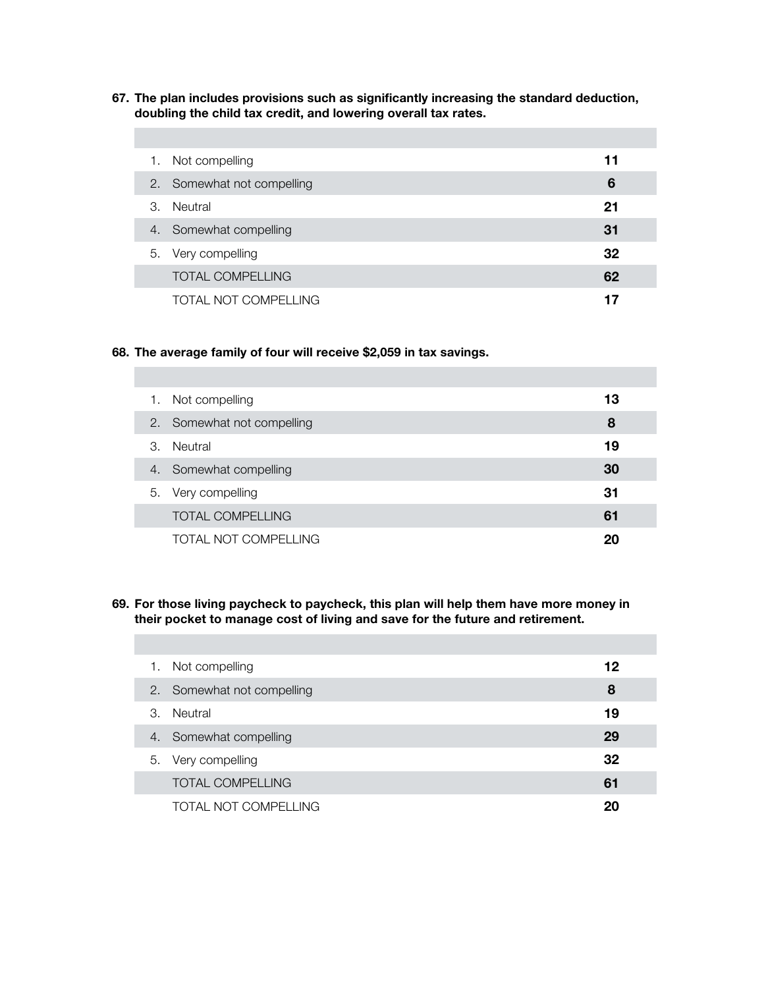**67. The plan includes provisions such as significantly increasing the standard deduction, doubling the child tax credit, and lowering overall tax rates.** 

| 1. | Not compelling             | 11 |
|----|----------------------------|----|
|    | 2. Somewhat not compelling | 6  |
| 3. | Neutral                    | 21 |
| 4. | Somewhat compelling        | 31 |
| 5. | Very compelling            | 32 |
|    | <b>TOTAL COMPELLING</b>    | 62 |
|    | TOTAL NOT COMPELLING       | 17 |

## **68. The average family of four will receive \$2,059 in tax savings.**

| 1. | Not compelling          | 13 |
|----|-------------------------|----|
| 2. | Somewhat not compelling | 8  |
| 3. | Neutral                 | 19 |
| 4. | Somewhat compelling     | 30 |
|    | 5. Very compelling      | 31 |
|    | <b>TOTAL COMPELLING</b> | 61 |
|    | TOTAL NOT COMPELLING    | 20 |

# **69. For those living paycheck to paycheck, this plan will help them have more money in their pocket to manage cost of living and save for the future and retirement.**

| Not compelling<br>1.       | 12 |
|----------------------------|----|
| 2. Somewhat not compelling | 8  |
| Neutral<br>3.              | 19 |
| Somewhat compelling<br>4.  | 29 |
| 5. Very compelling         | 32 |
| <b>TOTAL COMPELLING</b>    | 61 |
| TOTAL NOT COMPELLING       | 20 |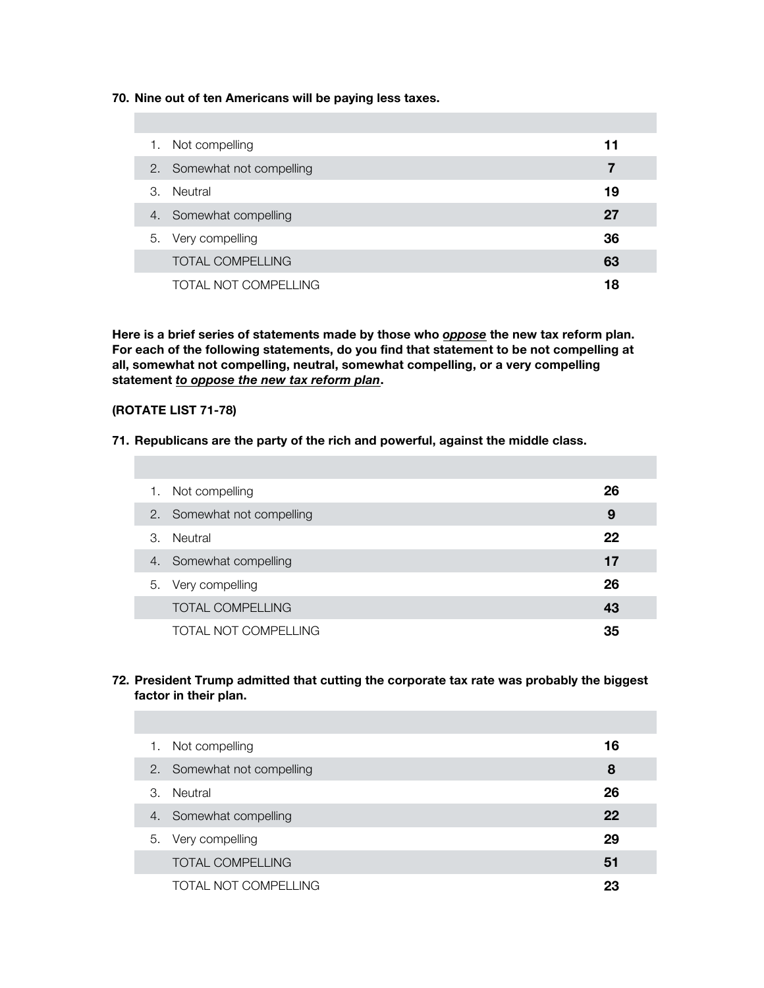**70. Nine out of ten Americans will be paying less taxes.**

| 1. | Not compelling             | 11 |
|----|----------------------------|----|
|    | 2. Somewhat not compelling |    |
| 3. | Neutral                    | 19 |
|    | 4. Somewhat compelling     | 27 |
|    | 5. Very compelling         | 36 |
|    | <b>TOTAL COMPELLING</b>    | 63 |
|    | TOTAL NOT COMPELLING       | 18 |

**Here is a brief series of statements made by those who** *oppose* **the new tax reform plan. For each of the following statements, do you find that statement to be not compelling at all, somewhat not compelling, neutral, somewhat compelling, or a very compelling statement** *to oppose the new tax reform plan***.**

# **(ROTATE LIST 71-78)**

#### **71. Republicans are the party of the rich and powerful, against the middle class.**

| 1. | Not compelling             | 26 |
|----|----------------------------|----|
|    | 2. Somewhat not compelling | 9  |
| 3. | Neutral                    | 22 |
|    | 4. Somewhat compelling     | 17 |
|    | 5. Very compelling         | 26 |
|    | <b>TOTAL COMPELLING</b>    | 43 |
|    | TOTAL NOT COMPELLING       | 35 |

#### **72. President Trump admitted that cutting the corporate tax rate was probably the biggest factor in their plan.**

| 1. | Not compelling             | 16 |
|----|----------------------------|----|
|    | 2. Somewhat not compelling | 8  |
| З. | Neutral                    | 26 |
| 4. | Somewhat compelling        | 22 |
|    | 5. Very compelling         | 29 |
|    | <b>TOTAL COMPELLING</b>    | 51 |
|    | TOTAL NOT COMPELLING       | 23 |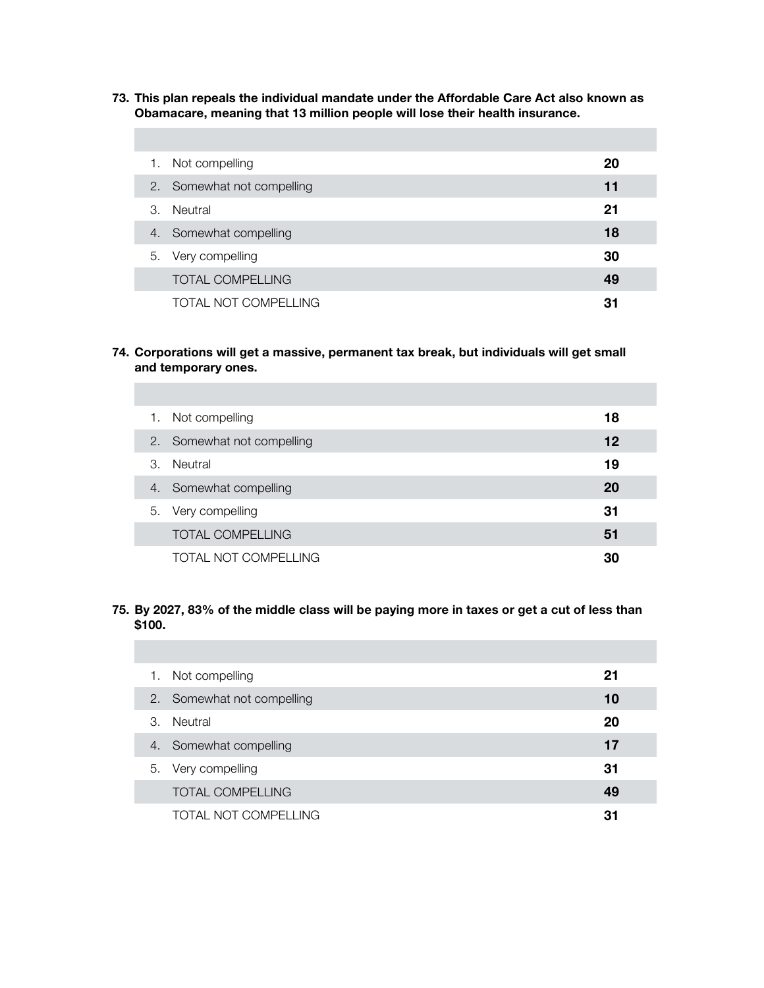**73. This plan repeals the individual mandate under the Affordable Care Act also known as Obamacare, meaning that 13 million people will lose their health insurance.** 

| 1. | Not compelling          | 20 |
|----|-------------------------|----|
| 2. | Somewhat not compelling | 11 |
| 3. | Neutral                 | 21 |
| 4. | Somewhat compelling     | 18 |
|    | 5. Very compelling      | 30 |
|    | <b>TOTAL COMPELLING</b> | 49 |
|    | TOTAL NOT COMPELLING    | 31 |

**74. Corporations will get a massive, permanent tax break, but individuals will get small and temporary ones.** 

| 1. | Not compelling             | 18 |
|----|----------------------------|----|
|    | 2. Somewhat not compelling | 12 |
| З. | Neutral                    | 19 |
| 4. | Somewhat compelling        | 20 |
| 5. | Very compelling            | 31 |
|    | <b>TOTAL COMPELLING</b>    | 51 |
|    | TOTAL NOT COMPELLING       | 30 |

# **75. By 2027, 83% of the middle class will be paying more in taxes or get a cut of less than \$100.**

| 1. | Not compelling          | 21 |
|----|-------------------------|----|
| 2. | Somewhat not compelling | 10 |
| 3. | Neutral                 | 20 |
| 4. | Somewhat compelling     | 17 |
| 5. | Very compelling         | 31 |
|    | <b>TOTAL COMPELLING</b> | 49 |
|    | TOTAL NOT COMPELLING    | 31 |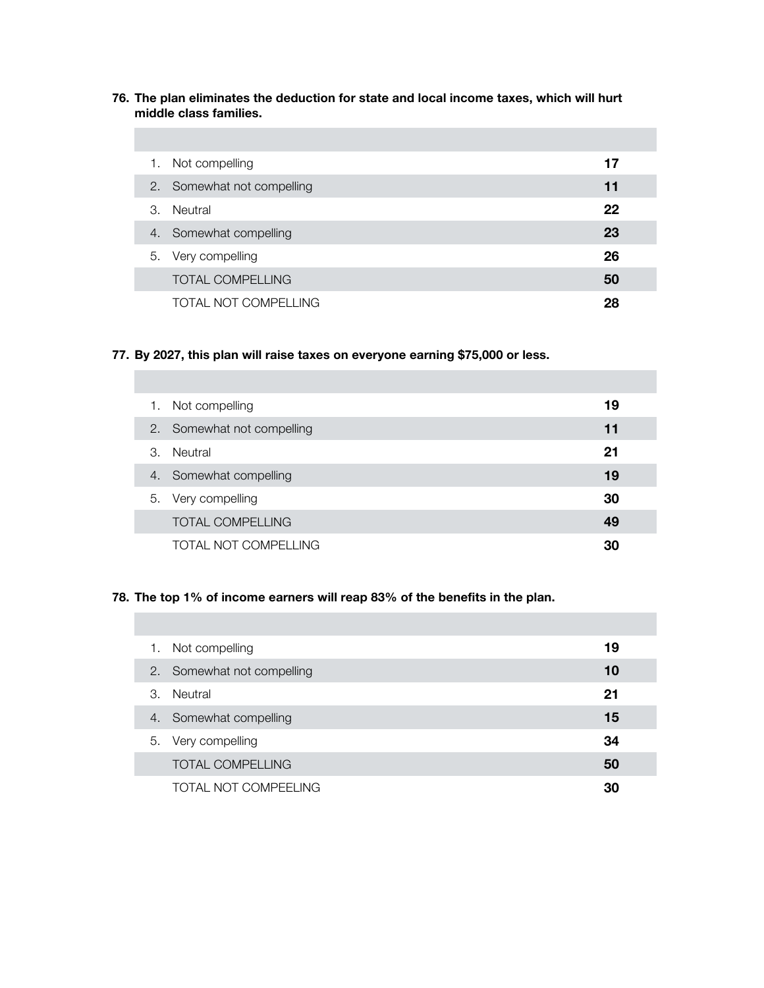**76. The plan eliminates the deduction for state and local income taxes, which will hurt middle class families.** 

|                       | 1. Not compelling          | 17 |
|-----------------------|----------------------------|----|
|                       | 2. Somewhat not compelling | 11 |
| $\mathcal{B}_{\cdot}$ | Neutral                    | 22 |
|                       | 4. Somewhat compelling     | 23 |
|                       | 5. Very compelling         | 26 |
|                       | <b>TOTAL COMPELLING</b>    | 50 |
|                       | TOTAL NOT COMPELLING       | 28 |

# **77. By 2027, this plan will raise taxes on everyone earning \$75,000 or less.**

| 1. | Not compelling          | 19 |
|----|-------------------------|----|
| 2. | Somewhat not compelling | 11 |
| 3. | Neutral                 | 21 |
| 4. | Somewhat compelling     | 19 |
| 5. | Very compelling         | 30 |
|    | <b>TOTAL COMPELLING</b> | 49 |
|    | TOTAL NOT COMPELLING    | 30 |

## **78. The top 1% of income earners will reap 83% of the benefits in the plan.**

| 1. | Not compelling             | 19 |
|----|----------------------------|----|
|    | 2. Somewhat not compelling | 10 |
| 3. | Neutral                    | 21 |
| 4. | Somewhat compelling        | 15 |
| 5. | Very compelling            | 34 |
|    | <b>TOTAL COMPELLING</b>    | 50 |
|    | TOTAL NOT COMPEELING       | 30 |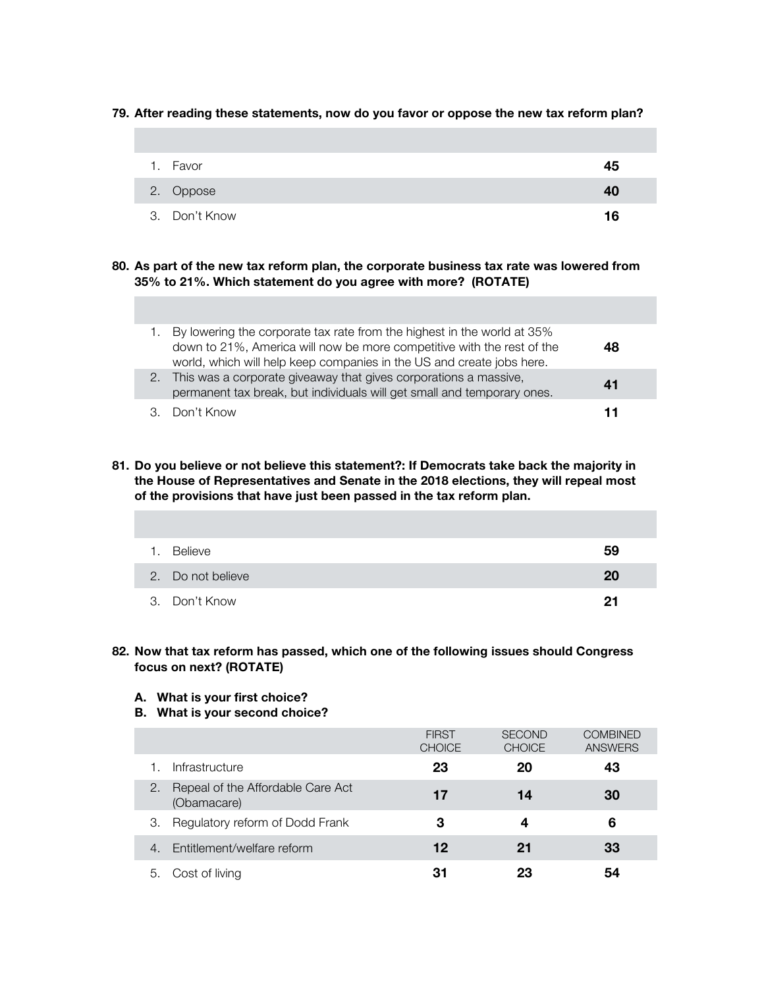|  | 79. After reading these statements, now do you favor or oppose the new tax reform plan? |  |  |  |
|--|-----------------------------------------------------------------------------------------|--|--|--|
|  |                                                                                         |  |  |  |

| $\mathbf{1}$ . | Favor         | 45 |
|----------------|---------------|----|
|                | 2. Oppose     | 40 |
|                | 3. Don't Know | 16 |

## **80. As part of the new tax reform plan, the corporate business tax rate was lowered from 35% to 21%. Which statement do you agree with more? (ROTATE)**

| 1. By lowering the corporate tax rate from the highest in the world at 35%<br>down to 21%, America will now be more competitive with the rest of the<br>world, which will help keep companies in the US and create jobs here. | 48 |
|-------------------------------------------------------------------------------------------------------------------------------------------------------------------------------------------------------------------------------|----|
| 2. This was a corporate giveaway that gives corporations a massive,<br>permanent tax break, but individuals will get small and temporary ones.                                                                                | 41 |
| 3. Don't Know                                                                                                                                                                                                                 | 11 |

**81. Do you believe or not believe this statement?: If Democrats take back the majority in the House of Representatives and Senate in the 2018 elections, they will repeal most of the provisions that have just been passed in the tax reform plan.** 

| 1. | Believe           | 59 |
|----|-------------------|----|
|    | 2. Do not believe | 20 |
|    | 3. Don't Know     | 21 |

## **82. Now that tax reform has passed, which one of the following issues should Congress focus on next? (ROTATE)**

#### **A. What is your first choice?**

**B. What is your second choice?** 

|                                                        | <b>FIRST</b><br><b>CHOICE</b> | <b>SECOND</b><br><b>CHOICE</b> | <b>COMBINED</b><br><b>ANSWERS</b> |
|--------------------------------------------------------|-------------------------------|--------------------------------|-----------------------------------|
| Infrastructure                                         | 23                            | 20                             | 43                                |
| Repeal of the Affordable Care Act<br>2.<br>(Obamacare) | 17                            | 14                             | 30                                |
| Regulatory reform of Dodd Frank<br>З.                  | 3                             | 4                              | 6                                 |
| Entitlement/welfare reform<br>4.                       | 12                            | 21                             | 33                                |
| Cost of living<br>5.                                   | 31                            | 23                             | 54                                |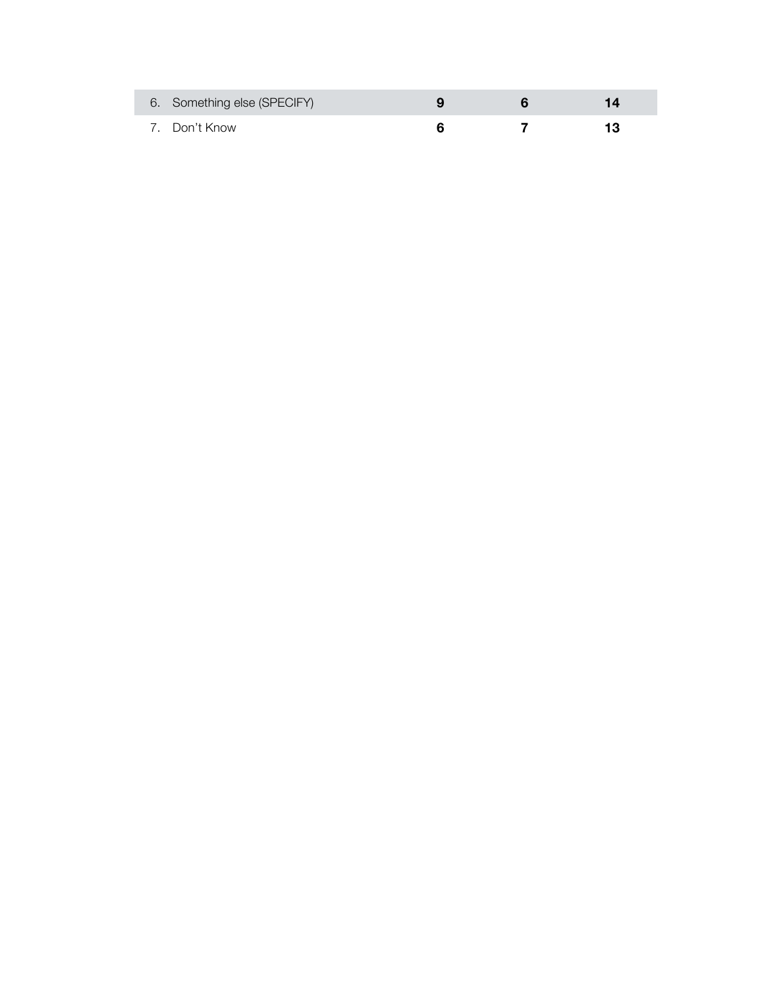| 6. Something else (SPECIFY) |  |  |
|-----------------------------|--|--|
| 7. Don't Know               |  |  |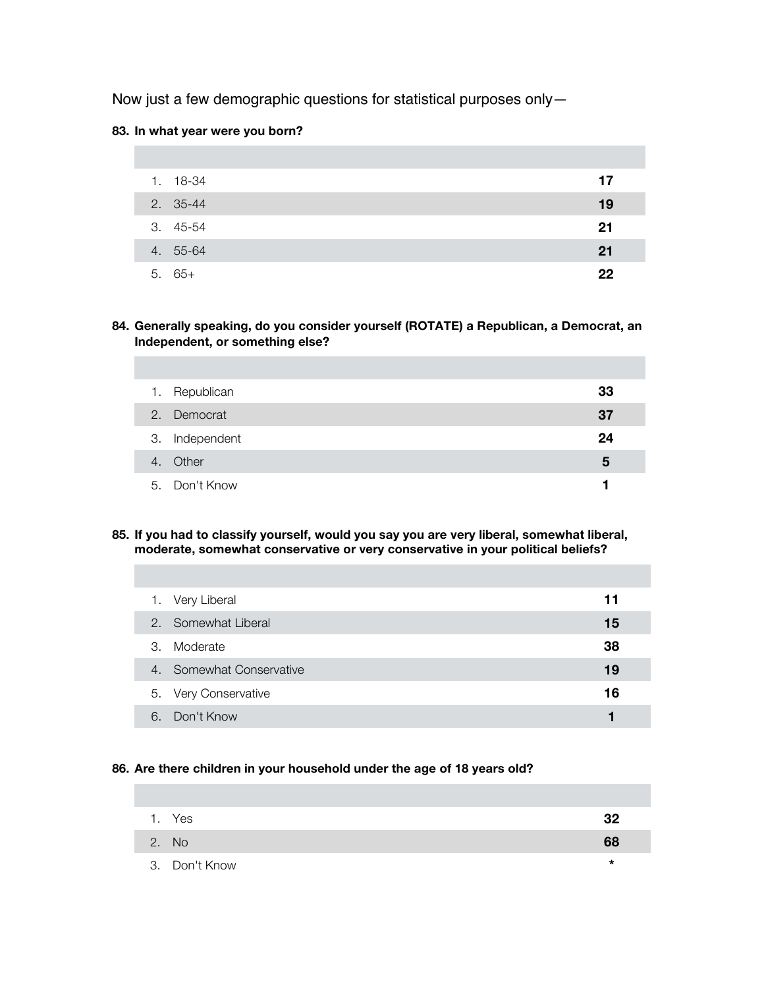Now just a few demographic questions for statistical purposes only—

## **83. In what year were you born?**

| 1. 18-34 | 17 |
|----------|----|
| 2. 35-44 | 19 |
| 3. 45-54 | 21 |
| 4. 55-64 | 21 |
| $5.65+$  | 22 |

**84. Generally speaking, do you consider yourself (ROTATE) a Republican, a Democrat, an Independent, or something else?**

| 1. | Republican     | 33 |
|----|----------------|----|
|    | 2. Democrat    | 37 |
|    | 3. Independent | 24 |
|    | 4. Other       | 5  |
|    | 5. Don't Know  |    |

**85. If you had to classify yourself, would you say you are very liberal, somewhat liberal, moderate, somewhat conservative or very conservative in your political beliefs?**

|    | 1. Very Liberal          | 11 |  |
|----|--------------------------|----|--|
|    | 2. Somewhat Liberal      | 15 |  |
| 3. | Moderate                 | 38 |  |
|    | 4. Somewhat Conservative | 19 |  |
|    | 5. Very Conservative     | 16 |  |
| 6  | Don't Know               | 1  |  |

# **86. Are there children in your household under the age of 18 years old?**

| 1. Yes        | 32     |
|---------------|--------|
| 2. No         | 68     |
| 3. Don't Know | $\ast$ |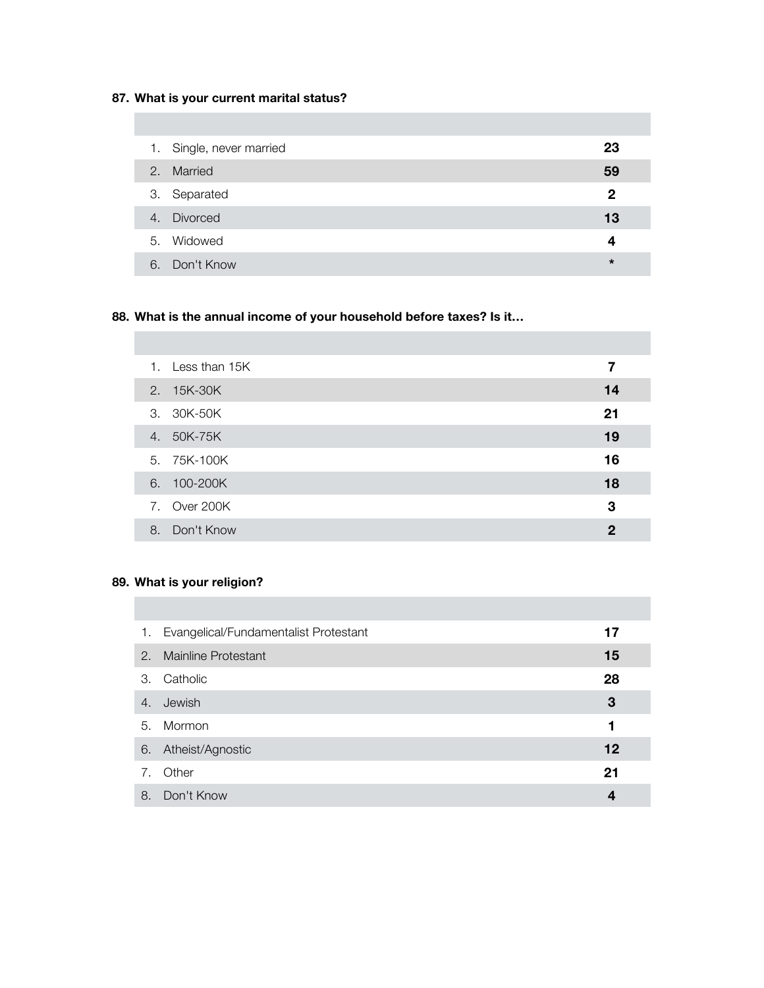# **87. What is your current marital status?**

|    | 1. Single, never married | 23             |
|----|--------------------------|----------------|
| 2. | Married                  | 59             |
|    | 3. Separated             | $\overline{2}$ |
|    | 4. Divorced              | 13             |
|    | 5. Widowed               | 4              |
| 6. | Don't Know               | $\star$        |

# **88. What is the annual income of your household before taxes? Is it…**

|    | 1. Less than 15K | 7           |
|----|------------------|-------------|
|    | 2. 15K-30K       | 14          |
|    | 3. 30K-50K       | 21          |
|    | 4. 50K-75K       | 19          |
|    | 5. 75K-100K      | 16          |
|    | 6. 100-200K      | 18          |
|    | 7. Over 200K     | 3           |
| 8. | Don't Know       | $\mathbf 2$ |

# **89. What is your religion?**

|    | 1. Evangelical/Fundamentalist Protestant | 17 |
|----|------------------------------------------|----|
| 2. | Mainline Protestant                      | 15 |
| 3. | Catholic                                 | 28 |
| 4. | Jewish                                   | 3  |
| 5. | Mormon                                   | 1  |
| 6. | Atheist/Agnostic                         | 12 |
| 7. | Other                                    | 21 |
| 8. | Don't Know                               | 4  |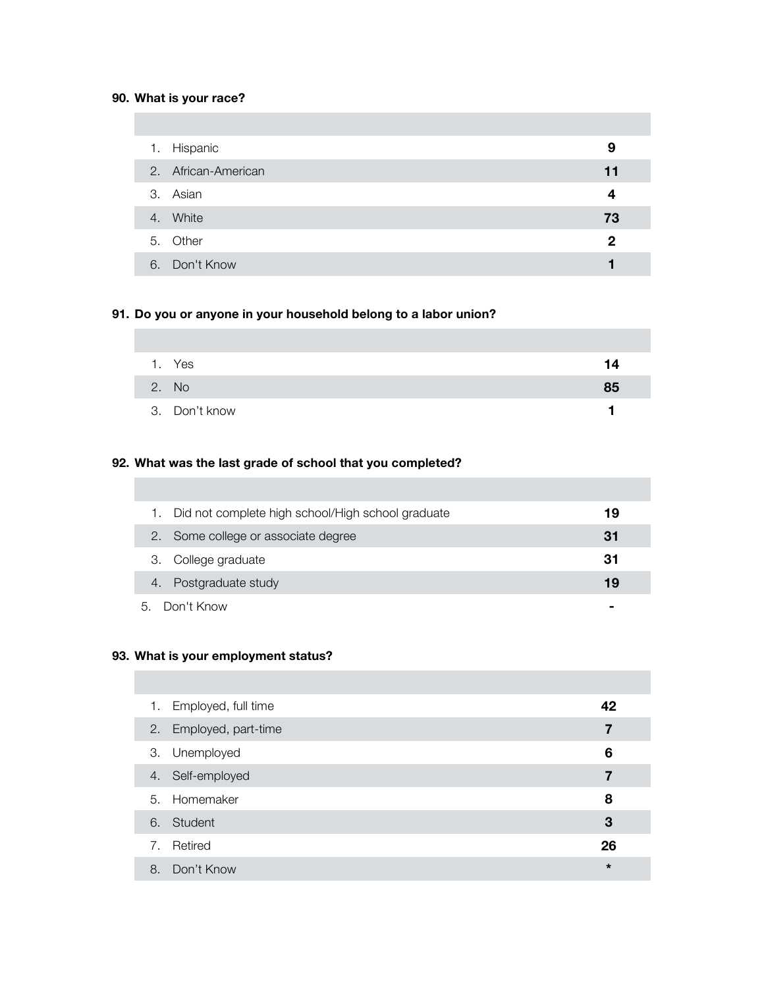## **90. What is your race?**

|    | 1. Hispanic         | 9  |
|----|---------------------|----|
|    | 2. African-American | 11 |
|    | 3. Asian            | 4  |
| 4. | White               | 73 |
|    | 5. Other            | 2  |
|    | 6. Don't Know       |    |

## **91. Do you or anyone in your household belong to a labor union?**

| 1. | Yes           | 14 |
|----|---------------|----|
|    | 2. No         | 85 |
|    | 3. Don't know |    |

# **92. What was the last grade of school that you completed?**

| Did not complete high school/High school graduate | 19 |
|---------------------------------------------------|----|
| 2. Some college or associate degree               | 31 |
| 3. College graduate                               | 31 |
| Postgraduate study                                | 19 |
| 5. Don't Know                                     |    |

## **93. What is your employment status?**

| Employed, full time<br>1. | 42      |
|---------------------------|---------|
| 2. Employed, part-time    | 7       |
| 3. Unemployed             | 6       |
| 4. Self-employed          | 7       |
| 5. Homemaker              | 8       |
| 6. Student                | 3       |
| Retired<br>7.             | 26      |
| Don't Know<br>8.          | $\star$ |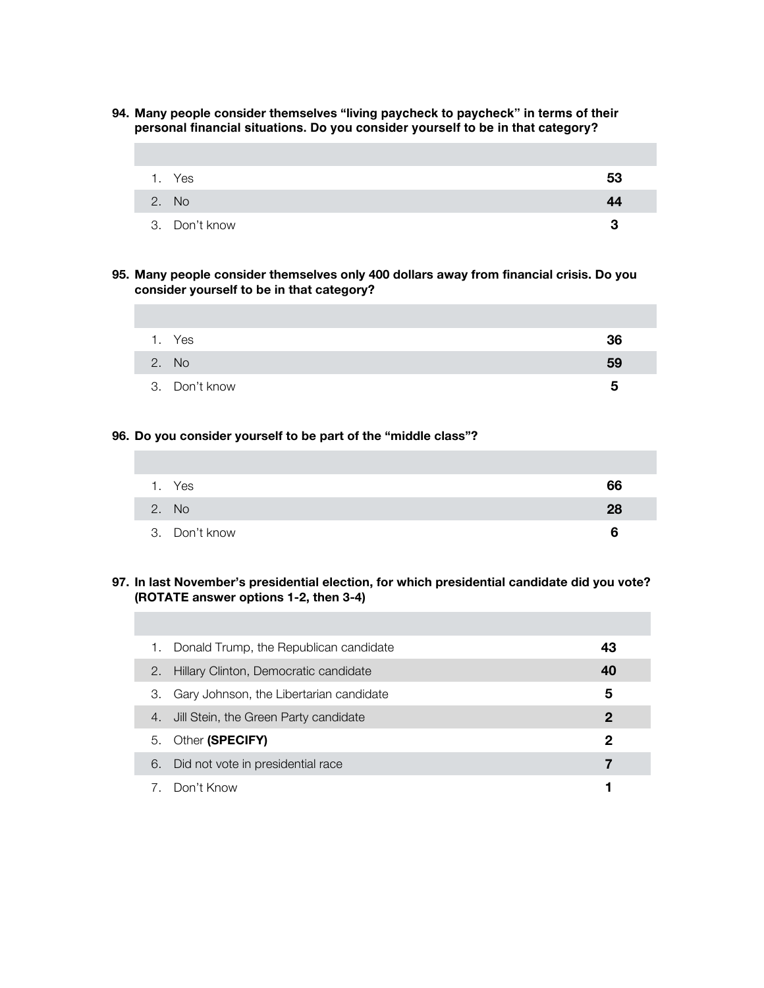**94. Many people consider themselves "living paycheck to paycheck" in terms of their personal financial situations. Do you consider yourself to be in that category?**

| 1. Yes        | 53 |
|---------------|----|
| 2. No         | 44 |
| 3. Don't know | っ  |

**95. Many people consider themselves only 400 dollars away from financial crisis. Do you consider yourself to be in that category?**

| 1. Yes        | 36 |
|---------------|----|
| 2. No         | 59 |
| 3. Don't know | h  |

## **96. Do you consider yourself to be part of the "middle class"?**

| 1. Yes        | 66 |
|---------------|----|
| 2. No         | 28 |
| 3. Don't know | 6  |

## **97. In last November's presidential election, for which presidential candidate did you vote? (ROTATE answer options 1-2, then 3-4)**

| 1. | Donald Trump, the Republican candidate  | 43          |
|----|-----------------------------------------|-------------|
| 2. | Hillary Clinton, Democratic candidate   | 40          |
| З. | Gary Johnson, the Libertarian candidate | 5           |
| 4. | Jill Stein, the Green Party candidate   | $\mathbf 2$ |
| 5. | Other (SPECIFY)                         | 2           |
| 6. | Did not vote in presidential race       |             |
| 7. | Don't Know                              |             |